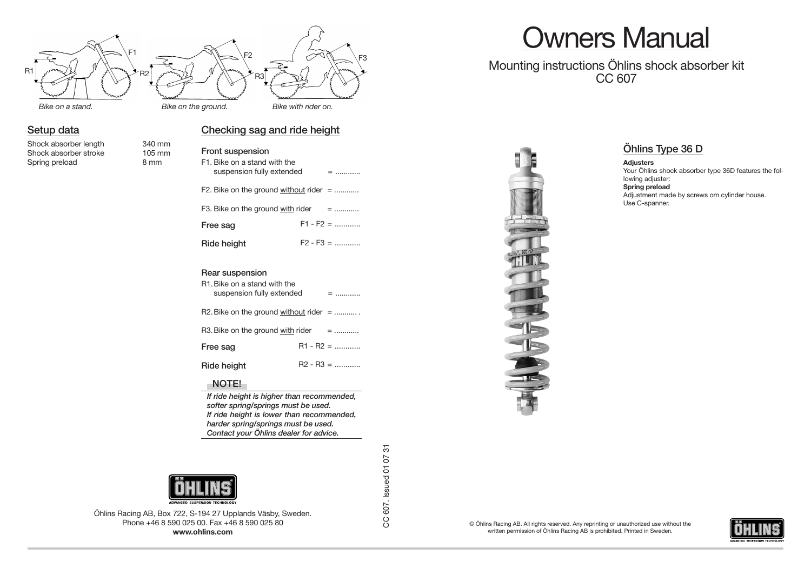

## **Setup data**

Shock absorber length 340 mm<br>Shock absorber stroke 105 mm Shock absorber stroke Spring preload 8 mm

|                                                                              | Front suspension<br>F1. Bike on a stand with the<br>suspension fully extended | $=$ |             |
|------------------------------------------------------------------------------|-------------------------------------------------------------------------------|-----|-------------|
|                                                                              | F2. Bike on the ground without rider $=$                                      |     |             |
|                                                                              | F3. Bike on the ground with rider                                             | $=$ |             |
|                                                                              | Free sag                                                                      |     | $F1 - F2 =$ |
|                                                                              | Ride height                                                                   |     | $F2 - F3 =$ |
| Rear suspension<br>R1. Bike on a stand with the<br>suspension fully extended |                                                                               |     | $=$         |
|                                                                              | R2. Bike on the ground without rider $=$                                      |     |             |
|                                                                              | R3 Rike on the around with rider                                              |     |             |

**Checking sag and ride height**

R3. Bike on the ground with rider

**Free sag R1 - R2 = ............** 

**Ride height** R2 - R3 = ............

#### **NOTE!**

*If ride height is higher than recommended, softer spring/springs must be used. If ride height is lower than recommended, harder spring/springs must be used. Contact your Öhlins dealer for advice.*



Öhlins Racing AB, Box 722, S-194 27 Upplands Väsby, Sweden. Phone +46 8 590 025 00. Fax +46 8 590 025 80 **www.ohlins.com**

CC 607. Issued 01 07 31

CC 607. Issued 01 07 31

# Owners Manual

## Mounting instructions Öhlins shock absorber kit CC 607



## **Öhlins Type 36 D**

**Adjusters** Your Öhlins shock absorber type 36D features the following adjuster: **Spring preload** Adjustment made by screws om cylinder house. Use C-spanner.

© Öhlins Racing AB. All rights reserved. Any reprinting or unauthorized use without the written permission of Öhlins Racing AB is prohibited. Printed in Sweden.